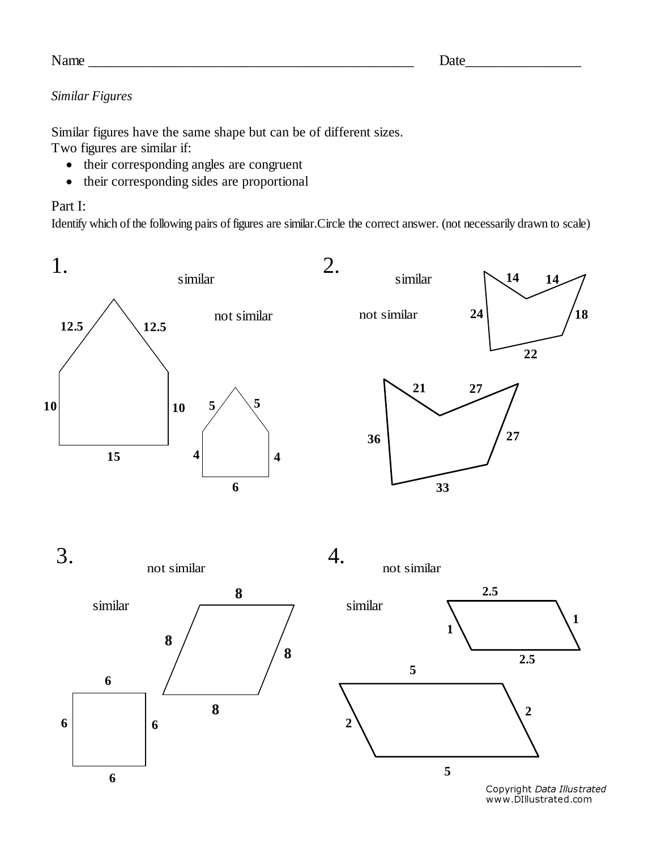| o |
|---|
|---|

## $Name \_$

## *Similar Figures*

Similar figures have the same shape but can be of different sizes. Two figures are similar if:

- their corresponding angles are congruent
- their corresponding sides are proportional

## Part I:

Identify which of the following pairs of figures are similar.Circle the correct answer. (not necessarily drawn to scale)



Copyright Data Illustrated www.DIllustrated.com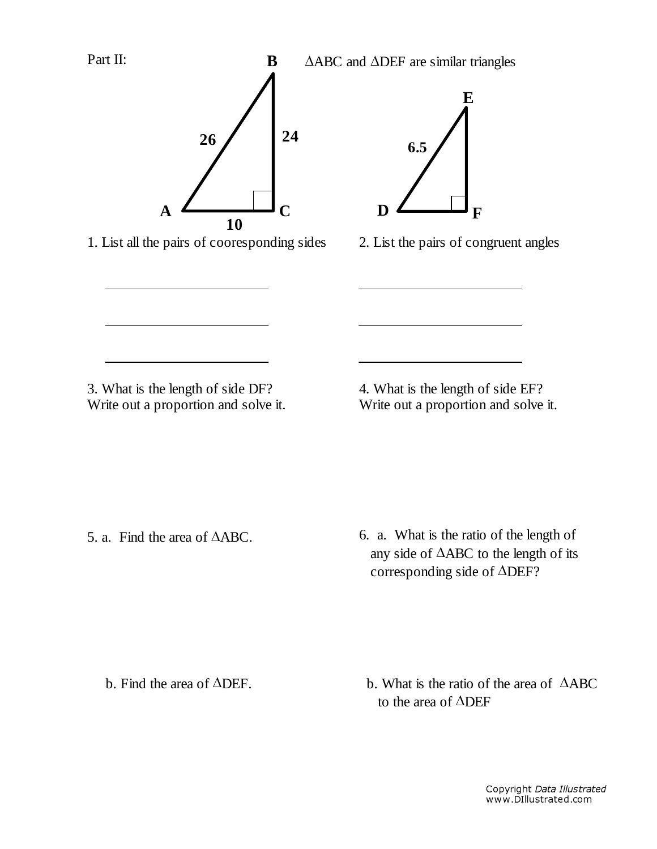

1. List all the pairs of cooresponding sides 2. List the pairs of congruent angles



**F**

3. What is the length of side DF? Write out a proportion and solve it. 4. What is the length of side EF? Write out a proportion and solve it.

5. a. Find the area of ∆ABC. 6. a. What is the ratio of the length of any side of ∆ABC to the length of its corresponding side of ∆DEF?

b. Find the area of ∆DEF.

b. What is the ratio of the area of ∆ABC to the area of ∆DEF